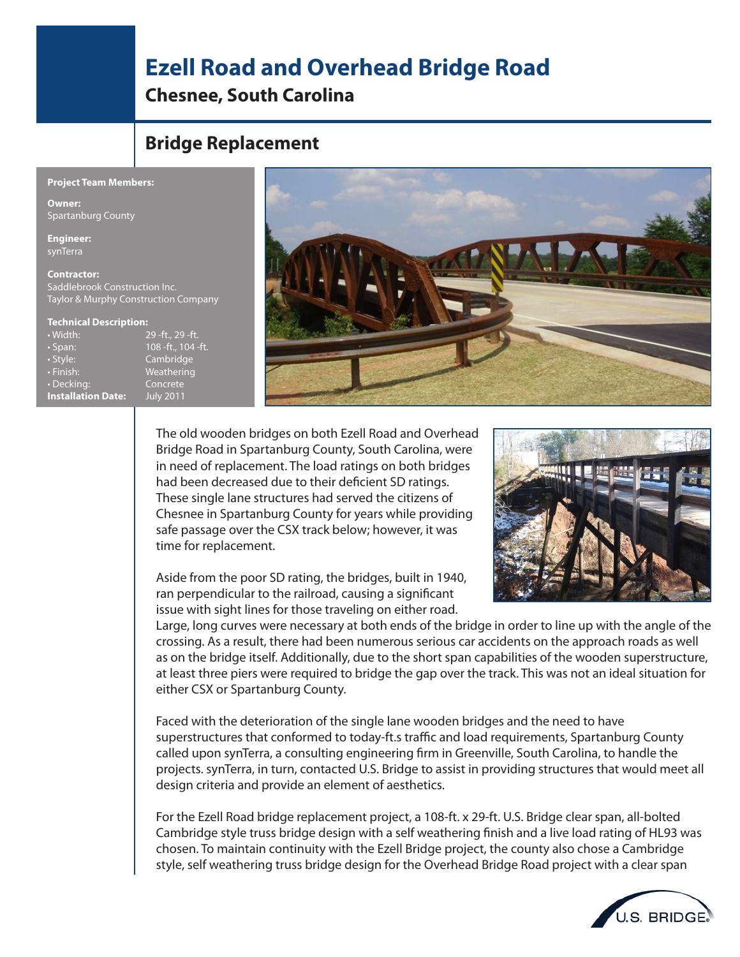## **Ezell Road and Overhead Bridge Road**

**Chesnee, South Carolina**

## **Bridge Replacement**

## **Project Team Members:**

**Owner:** Spartanburg County

**Engineer:** synTerra

**Contractor:** Saddlebrook Construction Inc. Taylor & Murphy Construction Company

## **Technical Description:**

• Width: 29 -ft., 29 -ft. • Span: 108 -ft., 104 -ft. • Style: Cambridge • Finish: Weathering • Decking: Concrete **Installation Date:** July 2011



The old wooden bridges on both Ezell Road and Overhead Bridge Road in Spartanburg County, South Carolina, were in need of replacement. The load ratings on both bridges had been decreased due to their deficient SD ratings. These single lane structures had served the citizens of Chesnee in Spartanburg County for years while providing safe passage over the CSX track below; however, it was time for replacement.

Aside from the poor SD rating, the bridges, built in 1940, ran perpendicular to the railroad, causing a significant issue with sight lines for those traveling on either road.



Large, long curves were necessary at both ends of the bridge in order to line up with the angle of the crossing. As a result, there had been numerous serious car accidents on the approach roads as well as on the bridge itself. Additionally, due to the short span capabilities of the wooden superstructure, at least three piers were required to bridge the gap over the track. This was not an ideal situation for either CSX or Spartanburg County.

Faced with the deterioration of the single lane wooden bridges and the need to have superstructures that conformed to today-ft.s traffic and load requirements, Spartanburg County called upon synTerra, a consulting engineering firm in Greenville, South Carolina, to handle the projects. synTerra, in turn, contacted U.S. Bridge to assist in providing structures that would meet all design criteria and provide an element of aesthetics.

For the Ezell Road bridge replacement project, a 108-ft. x 29-ft. U.S. Bridge clear span, all-bolted Cambridge style truss bridge design with a self weathering finish and a live load rating of HL93 was chosen. To maintain continuity with the Ezell Bridge project, the county also chose a Cambridge style, self weathering truss bridge design for the Overhead Bridge Road project with a clear span